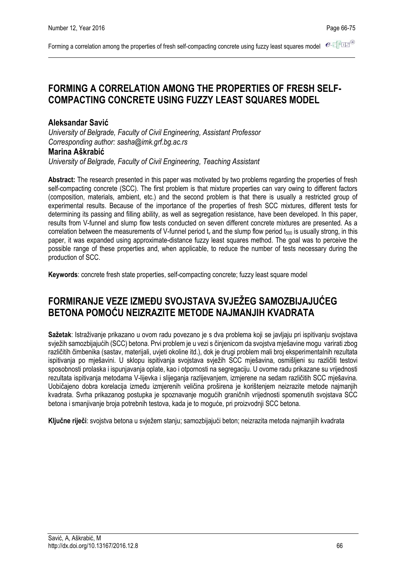Forming a correlation among the properties of fresh self-compacting concrete using fuzzy least squares model  $e \in \mathbb{R}$ 

# **FORMING A CORRELATION AMONG THE PROPERTIES OF FRESH SELF-COMPACTING CONCRETE USING FUZZY LEAST SQUARES MODEL**

### **Aleksandar Savić**

*University of Belgrade, Faculty of Civil Engineering, Assistant Professor Corresponding author: sasha@imk.grf.bg.ac.rs* **Marina Aškrabić**

*University of Belgrade, Faculty of Civil Engineering, Teaching Assistant*

**Abstract:** The research presented in this paper was motivated by two problems regarding the properties of fresh self-compacting concrete (SCC). The first problem is that mixture properties can vary owing to different factors (composition, materials, ambient, etc.) and the second problem is that there is usually a restricted group of experimental results. Because of the importance of the properties of fresh SCC mixtures, different tests for determining its passing and filling ability, as well as segregation resistance, have been developed. In this paper, results from V-funnel and slump flow tests conducted on seven different concrete mixtures are presented. As a correlation between the measurements of V-funnel period t<sub>v</sub> and the slump flow period t<sub>500</sub> is usually strong, in this paper, it was expanded using approximate-distance fuzzy least squares method. The goal was to perceive the possible range of these properties and, when applicable, to reduce the number of tests necessary during the production of SCC.

**Keywords**: concrete fresh state properties, self-compacting concrete; fuzzy least square model

# **FORMIRANJE VEZE IZMEĐU SVOJSTAVA SVJEŽEG SAMOZBIJAJUĆEG BETONA POMOĆU NEIZRAZITE METODE NAJMANJIH KVADRATA**

**Sažetak**: Istraživanje prikazano u ovom radu povezano je s dva problema koji se javljaju pri ispitivanju svojstava svježih samozbijajućih (SCC) betona. Prvi problem je u vezi s činjenicom da svojstva mješavine mogu varirati zbog različitih čimbenika (sastav, materijali, uvjeti okoline itd.), dok je drugi problem mali broj eksperimentalnih rezultata ispitivanja po mješavini. U sklopu ispitivanja svojstava svježih SCC mješavina, osmišljeni su različiti testovi sposobnosti prolaska i ispunjavanja oplate, kao i otpornosti na segregaciju. U ovome radu prikazane su vrijednosti rezultata ispitivanja metodama V-lijevka i slijeganja razlijevanjem, izmjerene na sedam različitih SCC mješavina. Uobičajeno dobra korelacija između izmjerenih veličina proširena je korištenjem neizrazite metode najmanjih kvadrata. Svrha prikazanog postupka je spoznavanje mogućih graničnih vrijednosti spomenutih svojstava SCC betona i smanjivanje broja potrebnih testova, kada je to moguće, pri proizvodnji SCC betona.

**Ključne riječi**: svojstva betona u svježem stanju; samozbijajući beton; neizrazita metoda najmanjiih kvadrata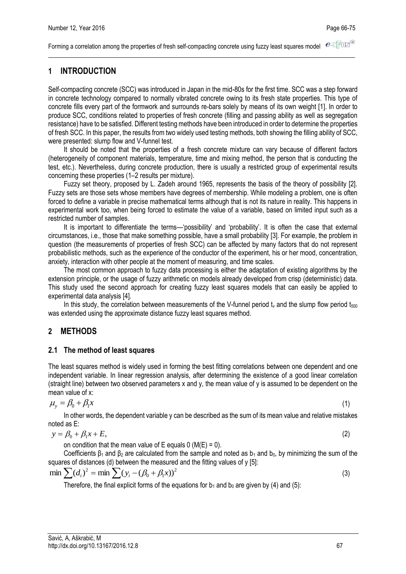Forming a correlation among the properties of fresh self-compacting concrete using fuzzy least squares model  $e$ -

# **1 INTRODUCTION**

Self-compacting concrete (SCC) was introduced in Japan in the mid-80s for the first time. SCC was a step forward in concrete technology compared to normally vibrated concrete owing to its fresh state properties. This type of concrete fills every part of the formwork and surrounds re-bars solely by means of its own weight [1]. In order to produce SCC, conditions related to properties of fresh concrete (filling and passing ability as well as segregation resistance) have to be satisfied. Different testing methods have been introduced in order to determine the properties of fresh SCC. In this paper, the results from two widely used testing methods, both showing the filling ability of SCC, were presented: slump flow and V-funnel test.

It should be noted that the properties of a fresh concrete mixture can vary because of different factors (heterogeneity of component materials, temperature, time and mixing method, the person that is conducting the test, etc.). Nevertheless, during concrete production, there is usually a restricted group of experimental results concerning these properties (1–2 results per mixture).

Fuzzy set theory, proposed by L. Zadeh around 1965, represents the basis of the theory of possibility [2]. Fuzzy sets are those sets whose members have degrees of membership. While modeling a problem, one is often forced to define a variable in precise mathematical terms although that is not its nature in reality. This happens in experimental work too, when being forced to estimate the value of a variable, based on limited input such as a restricted number of samples.

It is important to differentiate the terms—'possibility' and 'probability'. It is often the case that external circumstances, i.e., those that make something possible, have a small probability [3]. For example, the problem in question (the measurements of properties of fresh SCC) can be affected by many factors that do not represent probabilistic methods, such as the experience of the conductor of the experiment, his or her mood, concentration, anxiety, interaction with other people at the moment of measuring, and time scales.

The most common approach to fuzzy data processing is either the adaptation of existing algorithms by the extension principle, or the usage of fuzzy arithmetic on models already developed from crisp (deterministic) data. This study used the second approach for creating fuzzy least squares models that can easily be applied to experimental data analysis [4].

In this study, the correlation between measurements of the V-funnel period  $t<sub>w</sub>$  and the slump flow period  $t<sub>500</sub>$ was extended using the approximate distance fuzzy least squares method.

## **2 METHODS**

### **2.1 The method of least squares**

The least squares method is widely used in forming the best fitting correlations between one dependent and one independent variable. In linear regression analysis, after determining the existence of a good linear correlation (straight line) between two observed parameters x and y, the mean value of y is assumed to be dependent on the mean value of x:

$$
\mu_{y} = \beta_0 + \beta_1 x
$$

In other words, the dependent variable y can be described as the sum of its mean value and relative mistakes noted as E:

$$
y = \beta_0 + \beta_1 x + E,
$$

on condition that the mean value of E equals  $0 \, (M(E) = 0)$ .

Coefficients  $\beta_1$  and  $\beta_2$  are calculated from the sample and noted as  $b_1$  and  $b_0$ , by minimizing the sum of the squares of distances (d) between the measured and the fitting values of y [5]:

$$
\min \sum (d_i)^2 = \min \sum (y_i - (\beta_0 + \beta_1 x))^2
$$
\n(3)

Therefore, the final explicit forms of the equations for  $b_1$  and  $b_0$  are given by (4) and (5):

(1)

(2)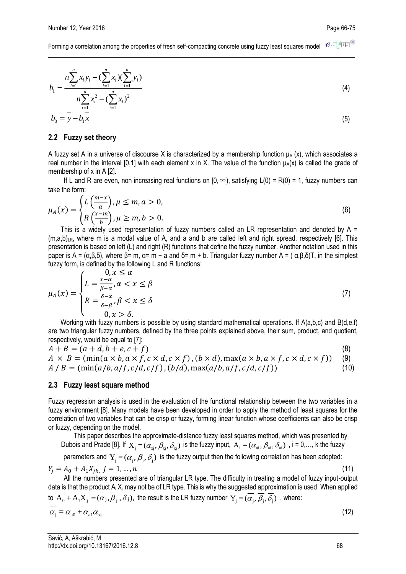$e$ -T $F$ IE Forming a correlation among the properties of fresh self-compacting concrete using fuzzy least squares model

$$
b_{1} = \frac{n \sum_{i=1}^{n} x_{i} y_{i} - (\sum_{i=1}^{n} x_{i})(\sum_{i=1}^{n} y_{i})}{n \sum_{i=1}^{n} x_{i}^{2} - (\sum_{i=1}^{n} x_{i})^{2}}
$$
\n
$$
b_{0} = y - b_{1} x
$$
\n(4)

#### **2.2 Fuzzy set theory**

A fuzzy set A in a universe of discourse X is characterized by a membership function  $\mu_A(x)$ , which associates a real number in the interval [0,1] with each element x in X. The value of the function  $\mu_A(x)$  is called the grade of membership of x in A [2].

If L and R are even, non increasing real functions on  $[0, \infty)$ , satisfying L(0) = R(0) = 1, fuzzy numbers can take the form:

$$
\mu_A(x) = \begin{cases} L\left(\frac{m-x}{a}\right), \mu \le m, a > 0, \\ R\left(\frac{x-m}{b}\right), \mu \ge m, b > 0. \end{cases}
$$
\n
$$
(6)
$$

This is a widely used representation of fuzzy numbers called an LR representation and denoted by A =  $(m,a,b)_{LR}$ , where m is a modal value of A, and a and b are called left and right spread, respectively [6]. This presentation is based on left (L) and right (R) functions that define the fuzzy number. Another notation used in this paper is A =  $(α,β,δ)$ , where  $β = m$ ,  $α = m - a$  and  $δ = m + b$ . Triangular fuzzy number A =  $(α,β,δ)T$ , in the simplest fuzzy form, is defined by the following L and R functions:

$$
\mu_A(x) = \begin{cases}\n0, x \le \alpha \\
L = \frac{x - \alpha}{\beta - \alpha}, \alpha < x \le \beta \\
R = \frac{\delta - x}{\delta - \beta}, \beta < x \le \delta \\
0, x > \delta.\n\end{cases} \tag{7}
$$

Working with fuzzy numbers is possible by using standard mathematical operations. If A(a,b,c) and B(d,e,f) are two triangular fuzzy numbers, defined by the three points explained above, their sum, product, and quotient, respectively, would be equal to [7]:

$$
A + B = (a + d, b + e, c + f)
$$
\n
$$
A \times B = (\min(a \times b, a \times f, c \times d, c \times f), (b \times d), \max(a \times b, a \times f, c \times d, c \times f))
$$
\n
$$
A / B = (\min(a/b, a/f, c/d, c/f), (b/d), \max(a/b, a/f, c/d, c/f))
$$
\n
$$
(10)
$$

#### **2.3 Fuzzy least square method**

Fuzzy regression analysis is used in the evaluation of the functional relationship between the two variables in a fuzzy environment [8]. Many models have been developed in order to apply the method of least squares for the correlation of two variables that can be crisp or fuzzy, forming linear function whose coefficients can also be crisp or fuzzy, depending on the model.

This paper describes the approximate-distance fuzzy least squares method, which was presented by Dubois and Prade [8]. If  $X_j=(\alpha_{xj},\beta_{xj},\delta_{xj})$  is the fuzzy input,  $A_i=(\alpha_{ai},\beta_{ai},\delta_{ai})$  , i = 0,..., k the fuzzy

parameters and  $\ Y_{\rm j}$   $=$   $(\alpha_{\rm j}, \beta_{\rm j}, \delta_{\rm j})\,$  is the fuzzy output then the following correlation has been adopted:

 $Y_j = A_0 + A_1 X_{jk}, j = 1, ..., n$  (11) All the numbers presented are of triangular LR type. The difficulty in treating a model of fuzzy input-output

data is that the product A<sub>i</sub> X<sub>ji</sub> may not be of LR type. This is why the suggested approximation is used. When applied to  $A_0+A_1X_j=(\alpha_j,\beta_j,\delta_j),$  the result is the LR fuzzy number  $Y_j$   $=$   $(\alpha_j,\beta_j,\delta_j)$  , where:

$$
\overline{\alpha_j} = \alpha_{\rm a0} + \alpha_{\rm a1} \alpha_{\rm xj} \tag{12}
$$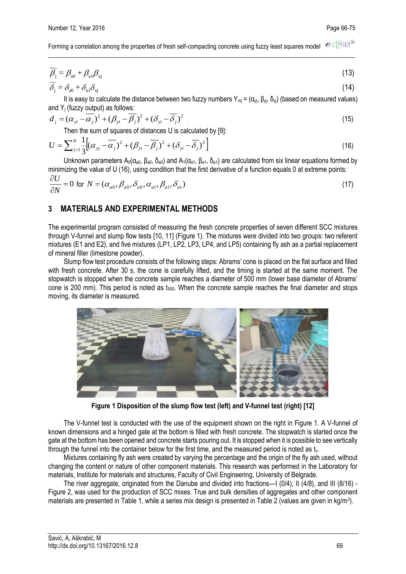$e$ -tro-Forming a correlation among the properties of fresh self-compacting concrete using fuzzy least squares model

$$
\overline{\beta_j} = \beta_{a0} + \beta_{a1}\beta_{xj} \tag{13}
$$

$$
\delta_{j} = \delta_{a0} + \delta_{a1}\delta_{xj} \tag{14}
$$

It is easy to calculate the distance between two fuzzy numbers  $Y_{mi} = (\alpha_{vi}, \beta_{vi}, \delta_{vi})$  (based on measured values) and Y<sup>j</sup> (fuzzy output) as follows:

$$
d_j = (\alpha_{yi} - \overline{\alpha_j})^2 + (\beta_{yi} - \overline{\beta_j})^2 + (\delta_{yi} - \overline{\delta_j})^2
$$
\nThen the sum of curves of distances 1 is calculated by [0].

Then the sum of squares of distances U is calculated by [9]:

$$
U = \sum_{j=1}^{N} \frac{1}{3} \Big[ (\alpha_{yj} - \overline{\alpha_j})^2 + (\beta_{yi} - \overline{\beta_j})^2 + (\delta_{yi} - \overline{\delta_j})^2 \Big]
$$
(16)

Unknown parameters  $A_0(\alpha_{a0}, \beta_{a0}, \delta_{a0})$  and  $A_1(\alpha_{a1}, \beta_{a1}, \delta_{a1})$  are calculated from six linear equations formed by minimizing the value of U (16), using condition that the first derivative of a function equals 0 at extreme points:

$$
\frac{\partial U}{\partial N} = 0 \text{ for } N = (\alpha_{a0}, \beta_{a0}, \delta_{a0}, \alpha_{a1}, \beta_{a1}, \delta_{a1})
$$
\n(17)

### **3 MATERIALS AND EXPERIMENTAL METHODS**

The experimental program consisted of measuring the fresh concrete properties of seven different SCC mixtures through V-funnel and slump flow tests [10, 11] (Figure 1). The mixtures were divided into two groups: two referent mixtures (E1 and E2), and five mixtures (LP1, LP2, LP3, LP4, and LP5) containing fly ash as a partial replacement of mineral filler (limestone powder).

Slump flow test procedure consists of the following steps: Abrams' cone is placed on the flat surface and filled with fresh concrete. After 30 s, the cone is carefully lifted, and the timing is started at the same moment. The stopwatch is stopped when the concrete sample reaches a diameter of 500 mm (lower base diameter of Abrams' cone is 200 mm). This period is noted as  $t_{500}$ . When the concrete sample reaches the final diameter and stops moving, its diameter is measured.



**Figure 1 Disposition of the slump flow test (left) and V-funnel test (right) [12]**

The V-funnel test is conducted with the use of the equipment shown on the right in Figure 1. A V-funnel of known dimensions and a hinged gate at the bottom is filled with fresh concrete. The stopwatch is started once the gate at the bottom has been opened and concrete starts pouring out. It is stopped when it is possible to see vertically through the funnel into the container below for the first time, and the measured period is noted as  $t<sub>v</sub>$ .

Mixtures containing fly ash were created by varying the percentage and the origin of the fly ash used, without changing the content or nature of other component materials. This research was performed in the Laboratory for materials, Institute for materials and structures, Faculty of Civil Engineering, University of Belgrade.

The river aggregate, originated from the Danube and divided into fractions—I (0/4), II (4/8), and III (8/16) -Figure 2, was used for the production of SCC mixes. True and bulk densities of aggregates and other component materials are presented in Table 1, while a series mix design is presented in Table 2 (values are given in kg/m<sup>3</sup>).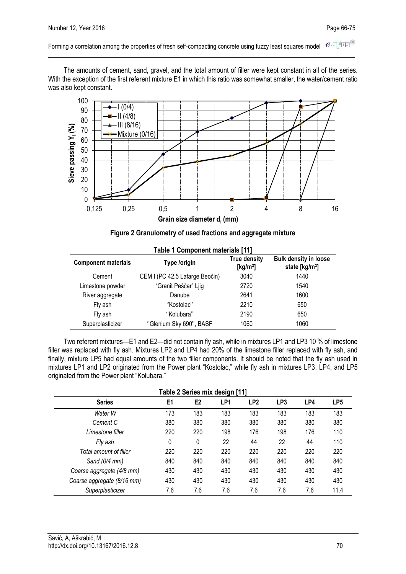$e$ -FFE<sup>®</sup> Forming a correlation among the properties of fresh self-compacting concrete using fuzzy least squares model

The amounts of cement, sand, gravel, and the total amount of filler were kept constant in all of the series. With the exception of the first referent mixture E1 in which this ratio was somewhat smaller, the water/cement ratio was also kept constant.



|  | Figure 2 Granulometry of used fractions and aggregate mixture |
|--|---------------------------------------------------------------|
|  |                                                               |

| <b>Table 1 Component materials [11]</b> |                                |                                    |                                                            |  |  |
|-----------------------------------------|--------------------------------|------------------------------------|------------------------------------------------------------|--|--|
| <b>Component materials</b>              | Type /origin                   | <b>True density</b><br>[ $kg/m3$ ] | <b>Bulk density in loose</b><br>state [kg/m <sup>3</sup> ] |  |  |
| Cement                                  | CEM I (PC 42.5 Lafarge Beočin) | 3040                               | 1440                                                       |  |  |
| Limestone powder                        | "Granit Peščar" Ljig           | 2720                               | 1540                                                       |  |  |
| River aggregate                         | Danube                         | 2641                               | 1600                                                       |  |  |
| Fly ash                                 | "Kostolac"                     | 2210                               | 650                                                        |  |  |
| Fly ash                                 | "Kolubara"                     | 2190                               | 650                                                        |  |  |
| Superplasticizer                        | "Glenium Sky 690", BASF        | 1060                               | 1060                                                       |  |  |

Two referent mixtures—E1 and E2—did not contain fly ash, while in mixtures LP1 and LP3 10 % of limestone filler was replaced with fly ash. Mixtures LP2 and LP4 had 20% of the limestone filler replaced with fly ash, and finally, mixture LP5 had equal amounts of the two filler components. It should be noted that the fly ash used in mixtures LP1 and LP2 originated from the Power plant "Kostolac," while fly ash in mixtures LP3, LP4, and LP5 originated from the Power plant "Kolubara."

| Table 2 Series mix design [11] |                |                |                 |                 |                 |     |                 |
|--------------------------------|----------------|----------------|-----------------|-----------------|-----------------|-----|-----------------|
| <b>Series</b>                  | E <sub>1</sub> | E <sub>2</sub> | LP <sub>1</sub> | LP <sub>2</sub> | LP <sub>3</sub> | LP4 | LP <sub>5</sub> |
| Water W                        | 173            | 183            | 183             | 183             | 183             | 183 | 183             |
| Cement C                       | 380            | 380            | 380             | 380             | 380             | 380 | 380             |
| Limestone filler               | 220            | 220            | 198             | 176             | 198             | 176 | 110             |
| Fly ash                        | 0              | 0              | 22              | 44              | 22              | 44  | 110             |
| Total amount of filler         | 220            | 220            | 220             | 220             | 220             | 220 | 220             |
| Sand $(0/4$ mm)                | 840            | 840            | 840             | 840             | 840             | 840 | 840             |
| Coarse aggregate (4/8 mm)      | 430            | 430            | 430             | 430             | 430             | 430 | 430             |
| Coarse aggregate (8/16 mm)     | 430            | 430            | 430             | 430             | 430             | 430 | 430             |
| Superplasticizer               | 7.6            | 7.6            | 7.6             | 7.6             | 7.6             | 7.6 | 11.4            |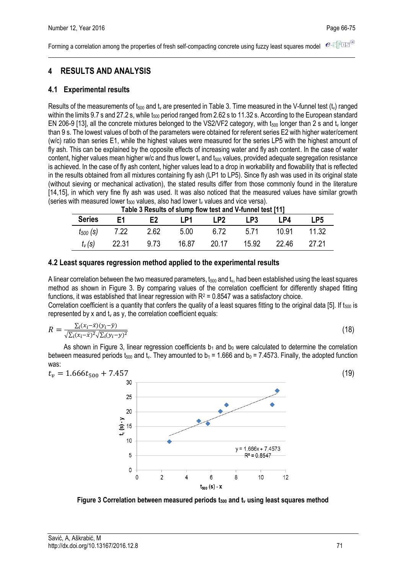$e$ -TFIE<sup>®</sup> Forming a correlation among the properties of fresh self-compacting concrete using fuzzy least squares model

# **4 RESULTS AND ANALYSIS**

### **4.1 Experimental results**

Results of the measurements of  $t_{500}$  and  $t_v$  are presented in Table 3. Time measured in the V-funnel test  $(t_v)$  ranged within the limits 9.7 s and 27.2 s, while t<sub>500</sub> period ranged from 2.62 s to 11.32 s. According to the European standard EN 206-9 [13], all the concrete mixtures belonged to the VS2/VF2 category, with t<sub>500</sub> longer than 2 s and t<sub>v</sub> longer than 9 s. The lowest values of both of the parameters were obtained for referent series E2 with higher water/cement (w/c) ratio than series E1, while the highest values were measured for the series LP5 with the highest amount of fly ash. This can be explained by the opposite effects of increasing water and fly ash content. In the case of water content, higher values mean higher w/c and thus lower  $t<sub>v</sub>$  and  $t<sub>500</sub>$  values, provided adequate segregation resistance is achieved. In the case of fly ash content, higher values lead to a drop in workability and flowability that is reflected in the results obtained from all mixtures containing fly ash (LP1 to LP5). Since fly ash was used in its original state (without sieving or mechanical activation), the stated results differ from those commonly found in the literature [14,15], in which very fine fly ash was used. It was also noticed that the measured values have similar growth (series with measured lower  $t_{500}$  values, also had lower  $t_v$  values and vice versa).

| Table 3 Results of slump flow test and v-funnel test [11] |       |                |       |       |       |       |       |
|-----------------------------------------------------------|-------|----------------|-------|-------|-------|-------|-------|
| <b>Series</b>                                             | F1    | F <sub>2</sub> | I P1  | I P2. | LP3   | P4    | LP5   |
| $t_{500}$ (S)                                             | 7.22  | 2.62           | 5.00  | ჩ 72  | 5 7 1 | 10.91 | 11.32 |
| $t_v(s)$                                                  | 22.31 | 9.73           | 16.87 | 20.17 | 15.92 | 22.46 | 27.21 |

**Table 3 Results of slump flow test and V-funnel test [11]**

#### **4.2 Least squares regression method applied to the experimental results**

A linear correlation between the two measured parameters,  $t_{500}$  and  $t_v$ , had been established using the least squares method as shown in Figure 3. By comparing values of the correlation coefficient for differently shaped fitting functions, it was established that linear regression with  $R^2 = 0.8547$  was a satisfactory choice.

Correlation coefficient is a quantity that confers the quality of a least squares fitting to the original data [5]. If t<sub>500</sub> is represented by x and  $t_v$  as y, the correlation coefficient equals:

$$
R = \frac{\sum_{i}(x_i - \bar{x})(y_i - \bar{y})}{\sqrt{\sum_{i}(x_i - \bar{x})^2}\sqrt{\sum_{i}(y_i - y)^2}}
$$
(18)

As shown in Figure 3, linear regression coefficients  $b_1$  and  $b_0$  were calculated to determine the correlation between measured periods t<sub>500</sub> and t<sub>y</sub>. They amounted to  $b_1 = 1.666$  and  $b_0 = 7.4573$ . Finally, the adopted function was:



**Figure 3 Correlation between measured periods t<sup>500</sup> and t<sup>v</sup> using least squares method**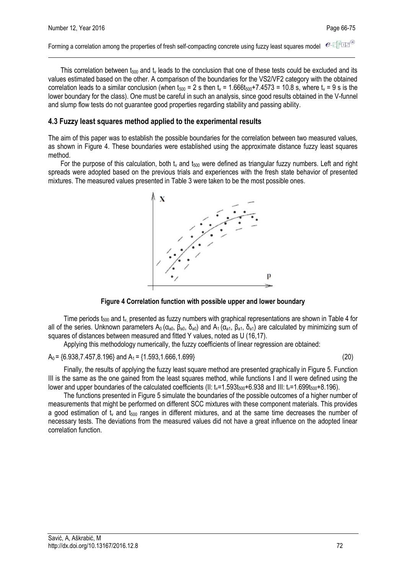$e$ -TFIE<sup>®</sup> Forming a correlation among the properties of fresh self-compacting concrete using fuzzy least squares model

This correlation between  $t_{500}$  and  $t_v$  leads to the conclusion that one of these tests could be excluded and its values estimated based on the other. A comparison of the boundaries for the VS2/VF2 category with the obtained correlation leads to a similar conclusion (when  $t_{500} = 2$  s then  $t_v = 1.666t_{500} + 7.4573 = 10.8$  s, where  $t_v = 9$  s is the lower boundary for the class). One must be careful in such an analysis, since good results obtained in the V-funnel and slump flow tests do not guarantee good properties regarding stability and passing ability.

#### **4.3 Fuzzy least squares method applied to the experimental results**

The aim of this paper was to establish the possible boundaries for the correlation between two measured values, as shown in Figure 4. These boundaries were established using the approximate distance fuzzy least squares method.

For the purpose of this calculation, both  $t_v$  and  $t_{500}$  were defined as triangular fuzzy numbers. Left and right spreads were adopted based on the previous trials and experiences with the fresh state behavior of presented mixtures. The measured values presented in Table 3 were taken to be the most possible ones.



#### **Figure 4 Correlation function with possible upper and lower boundary**

Time periods  $t_{500}$  and  $t_v$  presented as fuzzy numbers with graphical representations are shown in Table 4 for all of the series. Unknown parameters  $A_0$  ( $\alpha_{a0}$ ,  $\beta_{a0}$ ,  $\delta_{a0}$ ) and  $A_1$  ( $\alpha_{a1}$ ,  $\beta_{a1}$ ,  $\delta_{a1}$ ) are calculated by minimizing sum of squares of distances between measured and fitted Y values, noted as U (16,17).

Applying this methodology numerically, the fuzzy coefficients of linear regression are obtained:

 $A_0 = \{6.938, 7.457, 8.196\}$  and  $A_1 = \{1.593, 1.666, 1.699\}$  (20)

Finally, the results of applying the fuzzy least square method are presented graphically in Figure 5. Function III is the same as the one gained from the least squares method, while functions I and II were defined using the lower and upper boundaries of the calculated coefficients (II:  $t_v$ =1.593 $t_{500}$ +6.938 and III:  $t_v$ =1.699 $t_{500}$ +8.196).

The functions presented in Figure 5 simulate the boundaries of the possible outcomes of a higher number of measurements that might be performed on different SCC mixtures with these component materials. This provides a good estimation of  $t<sub>v</sub>$  and  $t<sub>500</sub>$  ranges in different mixtures, and at the same time decreases the number of necessary tests. The deviations from the measured values did not have a great influence on the adopted linear correlation function.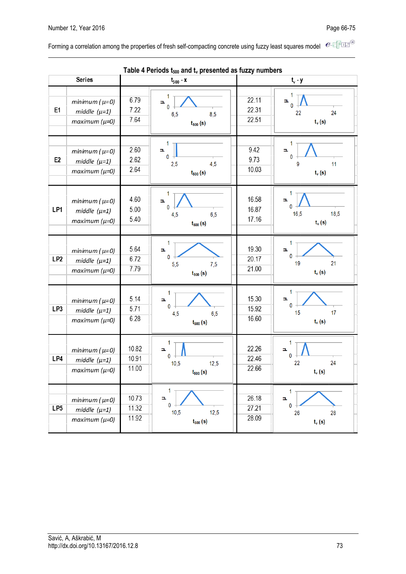Forming a correlation among the properties of fresh self-compacting concrete using fuzzy least squares model  $e \in \mathbb{F}$ 

|                 |                                                            |                         | Table 4 Periods $t_{500}$ and $t_v$ presented as fuzzy numbers |                         |                                                 |  |
|-----------------|------------------------------------------------------------|-------------------------|----------------------------------------------------------------|-------------------------|-------------------------------------------------|--|
|                 | <b>Series</b>                                              |                         | $t_{500} - x$                                                  | t, - y                  |                                                 |  |
| E <sub>1</sub>  | minimum $(\mu=0)$<br>middle $(\mu=1)$<br>$maximum (µ=0)$   | 6.79<br>7.22<br>7.64    | Þ.<br>$\mathbf{0}$<br>8,5<br>6,5<br>$t_{500}$ (s)              | 22.11<br>22.31<br>22.51 | 1<br>Þ.<br>$\mathbf{0}$<br>24<br>22<br>$t_v(s)$ |  |
| E <sub>2</sub>  | $minimum(\mu=0)$<br>middle $(\mu=1)$<br>$maximum (\mu=0)$  | 2.60<br>2.62<br>2.64    | 1<br>Þ.<br>0<br>4,5<br>2,5<br>$t_{500}$ (s)                    | 9.42<br>9.73<br>10.03   | 1<br>Þ.<br>$\bf{0}$<br>11<br>9<br>$t_v(s)$      |  |
| LP1             | minimum $(\mu=0)$<br>middle $(\mu=1)$<br>$maximum (µ=0)$   | 4.60<br>5.00<br>5.40    | 1<br>$\mathbf{E}$<br>0<br>6,5<br>4,5<br>$t_{500}$ (s)          | 16.58<br>16.87<br>17.16 | 1<br>Þ.<br>$\Omega$<br>16,5<br>18,5<br>$t_v(s)$ |  |
| LP <sub>2</sub> | minimum $(\mu=0)$<br>middle $(\mu=1)$<br>$maximum (µ=0)$   | 5.64<br>6.72<br>7.79    | 1<br>Þ.<br>0<br>7,5<br>5,5<br>$t_{500}$ (s)                    | 19.30<br>20.17<br>21.00 | 1<br>Ξ<br>0<br>21<br>19<br>$t_v(s)$             |  |
| LP <sub>3</sub> | minimum $(\mu=0)$<br>middle $(\mu=1)$<br>$maximum (µ=0)$   | 5.14<br>5.71<br>6.28    | 1<br>Þ,<br>$\mathbf{0}$<br>6,5<br>4,5<br>$t_{500}$ (s)         | 15.30<br>15.92<br>16.60 | 1<br>Þ.<br>0<br>17<br>15<br>$t_v(s)$            |  |
| LP4             | minimum $(\mu=0)$<br>middle $(\mu=1)$<br>$maximum (\mu=0)$ | 10.82<br>10.91<br>11.00 | 1<br>Þ.<br>$\mathbf{0}$<br>10,5<br>12,5<br>$t_{500}$ (s)       | 22.26<br>22.46<br>22.66 | 1<br>Þ.<br>0<br>24<br>22<br>$t_v(s)$            |  |
| LP <sub>5</sub> | minimum $(\mu=0)$<br>middle $(\mu=1)$<br>$maximum (µ=0)$   | 10.73<br>11.32<br>11.92 | 1<br>Ξ<br>$\bf{0}$<br>12,5<br>10,5<br>$t_{500}$ (s)            | 26.18<br>27.21<br>28.09 | 1<br>Þ.<br>$\bf{0}$<br>28<br>26<br>$t_v(s)$     |  |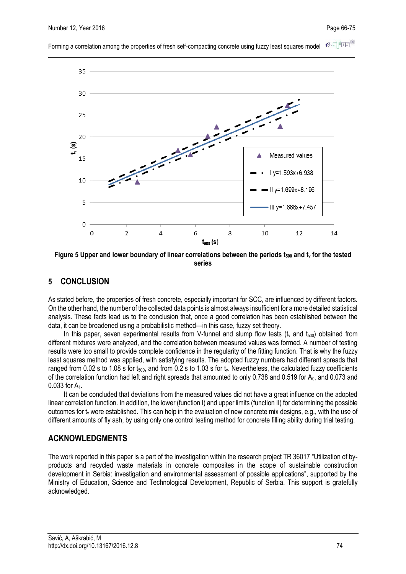

 $e$ -Tur $^{\circ}$ Forming a correlation among the properties of fresh self-compacting concrete using fuzzy least squares model

**Figure 5 Upper and lower boundary of linear correlations between the periods t<sup>500</sup> and t<sup>v</sup> for the tested series**

### **5 CONCLUSION**

As stated before, the properties of fresh concrete, especially important for SCC, are influenced by different factors. On the other hand, the number of the collected data points is almost always insufficient for a more detailed statistical analysis. These facts lead us to the conclusion that, once a good correlation has been established between the data, it can be broadened using a probabilistic method—in this case, fuzzy set theory.

In this paper, seven experimental results from V-funnel and slump flow tests (t<sub>v</sub> and t<sub>500</sub>) obtained from different mixtures were analyzed, and the correlation between measured values was formed. A number of testing results were too small to provide complete confidence in the regularity of the fitting function. That is why the fuzzy least squares method was applied, with satisfying results. The adopted fuzzy numbers had different spreads that ranged from 0.02 s to 1.08 s for  $t_{500}$ , and from 0.2 s to 1.03 s for  $t_v$ . Nevertheless, the calculated fuzzy coefficients of the correlation function had left and right spreads that amounted to only 0.738 and 0.519 for  $A_0$ , and 0.073 and 0.033 for A<sub>1</sub>.

It can be concluded that deviations from the measured values did not have a great influence on the adopted linear correlation function. In addition, the lower (function I) and upper limits (function II) for determining the possible outcomes for  $t_v$  were established. This can help in the evaluation of new concrete mix designs, e.g., with the use of different amounts of fly ash, by using only one control testing method for concrete filling ability during trial testing.

## **ACKNOWLEDGMENTS**

The work reported in this paper is a part of the investigation within the research project TR 36017 "Utilization of byproducts and recycled waste materials in concrete composites in the scope of sustainable construction development in Serbia: investigation and environmental assessment of possible applications", supported by the Ministry of Education, Science and Technological Development, Republic of Serbia. This support is gratefully acknowledged.